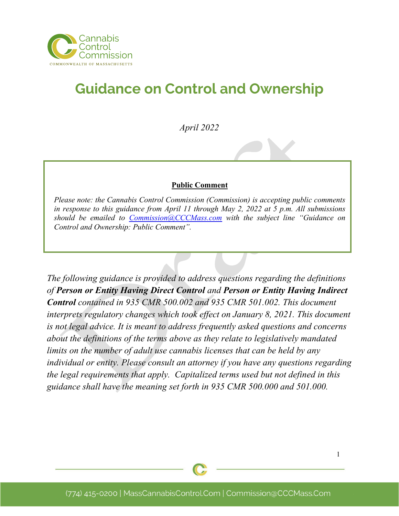

# **Guidance on Control and Ownership**

*April 2022*

#### **Public Comment**

*Please note: the Cannabis Control Commission (Commission) is accepting public comments in response to this guidance from April 11 through May 2, 2022 at 5 p.m. All submissions should be emailed to [Commission@CCCMass.com](mailto:Commission@CCCMass.com) with the subject line "Guidance on Control and Ownership: Public Comment".*

*The following guidance is provided to address questions regarding the definitions of Person or Entity Having Direct Control and Person or Entity Having Indirect Control contained in 935 CMR 500.002 and 935 CMR 501.002. This document interprets regulatory changes which took effect on January 8, 2021. This document is not legal advice. It is meant to address frequently asked questions and concerns about the definitions of the terms above as they relate to legislatively mandated limits on the number of adult use cannabis licenses that can be held by any individual or entity. Please consult an attorney if you have any questions regarding the legal requirements that apply. Capitalized terms used but not defined in this guidance shall have the meaning set forth in 935 CMR 500.000 and 501.000.*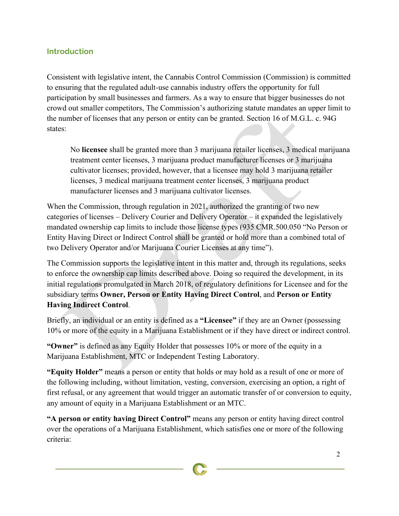#### **Introduction**

Consistent with legislative intent, the Cannabis Control Commission (Commission) is committed to ensuring that the regulated adult-use cannabis industry offers the opportunity for full participation by small businesses and farmers. As a way to ensure that bigger businesses do not crowd out smaller competitors, The Commission's authorizing statute mandates an upper limit to the number of licenses that any person or entity can be granted. Section 16 of M.G.L. c. 94G states:

No **licensee** shall be granted more than 3 marijuana retailer licenses, 3 medical marijuana treatment center licenses, 3 marijuana product manufacturer licenses or 3 marijuana cultivator licenses; provided, however, that a licensee may hold 3 marijuana retailer licenses, 3 medical marijuana treatment center licenses, 3 marijuana product manufacturer licenses and 3 marijuana cultivator licenses.

When the Commission, through regulation in 2021, authorized the granting of two new categories of licenses – Delivery Courier and Delivery Operator – it expanded the legislatively mandated ownership cap limits to include those license types (935 CMR.500.050 "No Person or Entity Having Direct or Indirect Control shall be granted or hold more than a combined total of two Delivery Operator and/or Marijuana Courier Licenses at any time").

The Commission supports the legislative intent in this matter and, through its regulations, seeks to enforce the ownership cap limits described above. Doing so required the development, in its initial regulations promulgated in March 2018, of regulatory definitions for Licensee and for the subsidiary terms **Owner, Person or Entity Having Direct Control**, and **Person or Entity Having Indirect Control**.

Briefly, an individual or an entity is defined as a **"Licensee"** if they are an Owner (possessing 10% or more of the equity in a Marijuana Establishment or if they have direct or indirect control.

**"Owner"** is defined as any Equity Holder that possesses 10% or more of the equity in a Marijuana Establishment, MTC or Independent Testing Laboratory.

**"Equity Holder"** means a person or entity that holds or may hold as a result of one or more of the following including, without limitation, vesting, conversion, exercising an option, a right of first refusal, or any agreement that would trigger an automatic transfer of or conversion to equity, any amount of equity in a Marijuana Establishment or an MTC.

**"A person or entity having Direct Control"** means any person or entity having direct control over the operations of a Marijuana Establishment, which satisfies one or more of the following criteria: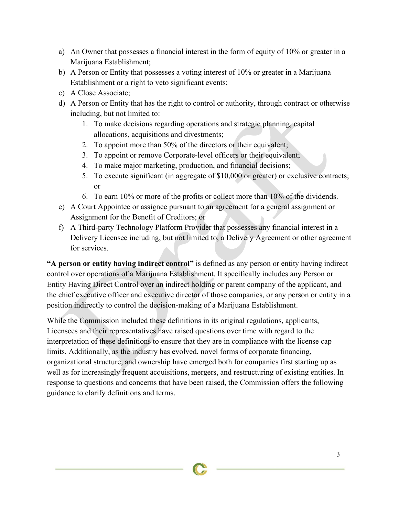- a) An Owner that possesses a financial interest in the form of equity of 10% or greater in a Marijuana Establishment;
- b) A Person or Entity that possesses a voting interest of  $10\%$  or greater in a Marijuana Establishment or a right to veto significant events;
- c) A Close Associate;
- d) A Person or Entity that has the right to control or authority, through contract or otherwise including, but not limited to:
	- 1. To make decisions regarding operations and strategic planning, capital allocations, acquisitions and divestments;
	- 2. To appoint more than 50% of the directors or their equivalent;
	- 3. To appoint or remove Corporate-level officers or their equivalent;
	- 4. To make major marketing, production, and financial decisions;
	- 5. To execute significant (in aggregate of \$10,000 or greater) or exclusive contracts; or
	- 6. To earn 10% or more of the profits or collect more than 10% of the dividends.
- e) A Court Appointee or assignee pursuant to an agreement for a general assignment or Assignment for the Benefit of Creditors; or
- f) A Third-party Technology Platform Provider that possesses any financial interest in a Delivery Licensee including, but not limited to, a Delivery Agreement or other agreement for services.

**"A person or entity having indirect control"** is defined as any person or entity having indirect control over operations of a Marijuana Establishment. It specifically includes any Person or Entity Having Direct Control over an indirect holding or parent company of the applicant, and the chief executive officer and executive director of those companies, or any person or entity in a position indirectly to control the decision-making of a Marijuana Establishment.

While the Commission included these definitions in its original regulations, applicants, Licensees and their representatives have raised questions over time with regard to the interpretation of these definitions to ensure that they are in compliance with the license cap limits. Additionally, as the industry has evolved, novel forms of corporate financing, organizational structure, and ownership have emerged both for companies first starting up as well as for increasingly frequent acquisitions, mergers, and restructuring of existing entities. In response to questions and concerns that have been raised, the Commission offers the following guidance to clarify definitions and terms.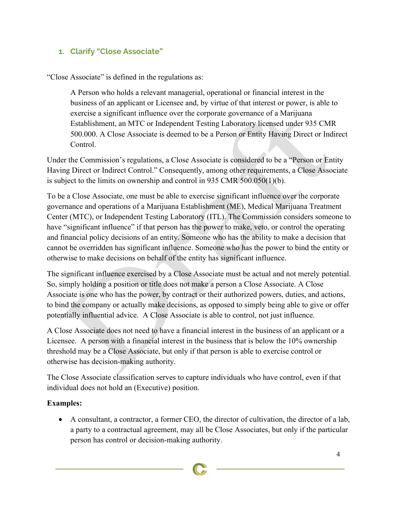## **1. Clarify "Close Associate"**

"Close Associate" is defined in the regulations as:

A Person who holds a relevant managerial, operational or financial interest in the business of an applicant or Licensee and, by virtue of that interest or power, is able to exercise a significant influence over the corporate governance of a Marijuana Establishment, an MTC or Independent Testing Laboratory licensed under 935 CMR 500.000. A Close Associate is deemed to be a Person or Entity Having Direct or Indirect Control.

Under the Commission's regulations, a Close Associate is considered to be a "Person or Entity Having Direct or Indirect Control." Consequently, among other requirements, a Close Associate is subject to the limits on ownership and control in 935 CMR 500.050(1)(b).

To be a Close Associate, one must be able to exercise significant influence over the corporate governance and operations of a Marijuana Establishment (ME), Medical Marijuana Treatment Center (MTC), or Independent Testing Laboratory (ITL). The Commission considers someone to have "significant influence" if that person has the power to make, veto, or control the operating and financial policy decisions of an entity. Someone who has the ability to make a decision that cannot be overridden has significant influence. Someone who has the power to bind the entity or otherwise to make decisions on behalf of the entity has significant influence.

The significant influence exercised by a Close Associate must be actual and not merely potential. So, simply holding a position or title does not make a person a Close Associate. A Close Associate is one who has the power, by contract or their authorized powers, duties, and actions, to bind the company or actually make decisions, as opposed to simply being able to give or offer potentially influential advice. A Close Associate is able to control, not just influence.

A Close Associate does not need to have a financial interest in the business of an applicant or a Licensee. A person with a financial interest in the business that is below the 10% ownership threshold may be a Close Associate, but only if that person is able to exercise control or otherwise has decision-making authority.

The Close Associate classification serves to capture individuals who have control, even if that individual does not hold an (Executive) position.

## **Examples:**

• A consultant, a contractor, a former CEO, the director of cultivation, the director of a lab, a party to a contractual agreement, may all be Close Associates, but only if the particular person has control or decision-making authority.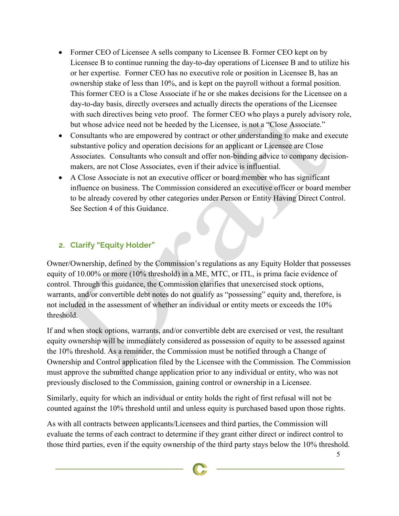- Former CEO of Licensee A sells company to Licensee B. Former CEO kept on by Licensee B to continue running the day-to-day operations of Licensee B and to utilize his or her expertise. Former CEO has no executive role or position in Licensee B, has an ownership stake of less than 10%, and is kept on the payroll without a formal position. This former CEO is a Close Associate if he or she makes decisions for the Licensee on a day-to-day basis, directly oversees and actually directs the operations of the Licensee with such directives being veto proof. The former CEO who plays a purely advisory role, but whose advice need not be heeded by the Licensee, is not a "Close Associate."
- Consultants who are empowered by contract or other understanding to make and execute substantive policy and operation decisions for an applicant or Licensee are Close Associates. Consultants who consult and offer non-binding advice to company decisionmakers, are not Close Associates, even if their advice is influential.
- A Close Associate is not an executive officer or board member who has significant influence on business. The Commission considered an executive officer or board member to be already covered by other categories under Person or Entity Having Direct Control. See Section 4 of this Guidance.

## **2. Clarify "Equity Holder"**

Owner/Ownership, defined by the Commission's regulations as any Equity Holder that possesses equity of 10.00% or more (10% threshold) in a ME, MTC, or ITL, is prima facie evidence of control. Through this guidance, the Commission clarifies that unexercised stock options, warrants, and/or convertible debt notes do not qualify as "possessing" equity and, therefore, is not included in the assessment of whether an individual or entity meets or exceeds the 10% threshold.

If and when stock options, warrants, and/or convertible debt are exercised or vest, the resultant equity ownership will be immediately considered as possession of equity to be assessed against the 10% threshold. As a reminder, the Commission must be notified through a Change of Ownership and Control application filed by the Licensee with the Commission. The Commission must approve the submitted change application prior to any individual or entity, who was not previously disclosed to the Commission, gaining control or ownership in a Licensee.

Similarly, equity for which an individual or entity holds the right of first refusal will not be counted against the 10% threshold until and unless equity is purchased based upon those rights.

As with all contracts between applicants/Licensees and third parties, the Commission will evaluate the terms of each contract to determine if they grant either direct or indirect control to those third parties, even if the equity ownership of the third party stays below the 10% threshold.

5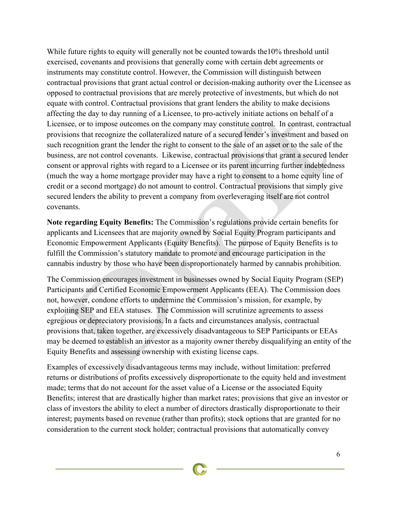While future rights to equity will generally not be counted towards the 10% threshold until exercised, covenants and provisions that generally come with certain debt agreements or instruments may constitute control. However, the Commission will distinguish between contractual provisions that grant actual control or decision-making authority over the Licensee as opposed to contractual provisions that are merely protective of investments, but which do not equate with control. Contractual provisions that grant lenders the ability to make decisions affecting the day to day running of a Licensee, to pro-actively initiate actions on behalf of a Licensee, or to impose outcomes on the company may constitute control. In contrast, contractual provisions that recognize the collateralized nature of a secured lender's investment and based on such recognition grant the lender the right to consent to the sale of an asset or to the sale of the business, are not control covenants. Likewise, contractual provisions that grant a secured lender consent or approval rights with regard to a Licensee or its parent incurring further indebtedness (much the way a home mortgage provider may have a right to consent to a home equity line of credit or a second mortgage) do not amount to control. Contractual provisions that simply give secured lenders the ability to prevent a company from overleveraging itself are not control covenants.

**Note regarding Equity Benefits:** The Commission's regulations provide certain benefits for applicants and Licensees that are majority owned by Social Equity Program participants and Economic Empowerment Applicants (Equity Benefits). The purpose of Equity Benefits is to fulfill the Commission's statutory mandate to promote and encourage participation in the cannabis industry by those who have been disproportionately harmed by cannabis prohibition.

The Commission encourages investment in businesses owned by Social Equity Program (SEP) Participants and Certified Economic Empowerment Applicants (EEA). The Commission does not, however, condone efforts to undermine the Commission's mission, for example, by exploiting SEP and EEA statuses. The Commission will scrutinize agreements to assess egregious or depreciatory provisions. In a facts and circumstances analysis, contractual provisions that, taken together, are excessively disadvantageous to SEP Participants or EEAs may be deemed to establish an investor as a majority owner thereby disqualifying an entity of the Equity Benefits and assessing ownership with existing license caps.

Examples of excessively disadvantageous terms may include, without limitation: preferred returns or distributions of profits excessively disproportionate to the equity held and investment made; terms that do not account for the asset value of a License or the associated Equity Benefits; interest that are drastically higher than market rates; provisions that give an investor or class of investors the ability to elect a number of directors drastically disproportionate to their interest; payments based on revenue (rather than profits); stock options that are granted for no consideration to the current stock holder; contractual provisions that automatically convey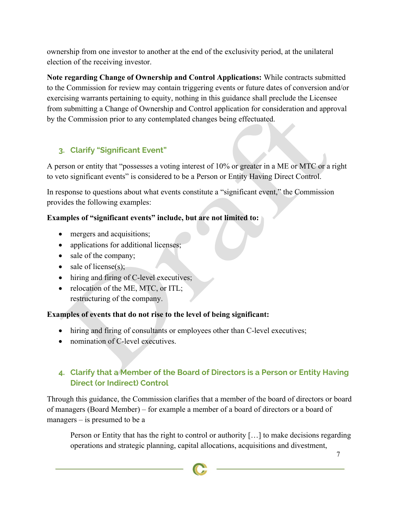ownership from one investor to another at the end of the exclusivity period, at the unilateral election of the receiving investor.

**Note regarding Change of Ownership and Control Applications:** While contracts submitted to the Commission for review may contain triggering events or future dates of conversion and/or exercising warrants pertaining to equity, nothing in this guidance shall preclude the Licensee from submitting a Change of Ownership and Control application for consideration and approval by the Commission prior to any contemplated changes being effectuated.

## **3. Clarify "Significant Event"**

A person or entity that "possesses a voting interest of 10% or greater in a ME or MTC or a right to veto significant events" is considered to be a Person or Entity Having Direct Control.

In response to questions about what events constitute a "significant event," the Commission provides the following examples:

## **Examples of "significant events" include, but are not limited to:**

- mergers and acquisitions;
- applications for additional licenses;
- sale of the company;
- sale of license $(s)$ ;
- hiring and firing of C-level executives;
- relocation of the ME, MTC, or ITL; restructuring of the company.

## **Examples of events that do not rise to the level of being significant:**

- hiring and firing of consultants or employees other than C-level executives;
- nomination of C-level executives.

## **4. Clarify that a Member of the Board of Directors is a Person or Entity Having Direct (or Indirect) Control**

Through this guidance, the Commission clarifies that a member of the board of directors or board of managers (Board Member) – for example a member of a board of directors or a board of managers – is presumed to be a

Person or Entity that has the right to control or authority […] to make decisions regarding operations and strategic planning, capital allocations, acquisitions and divestment,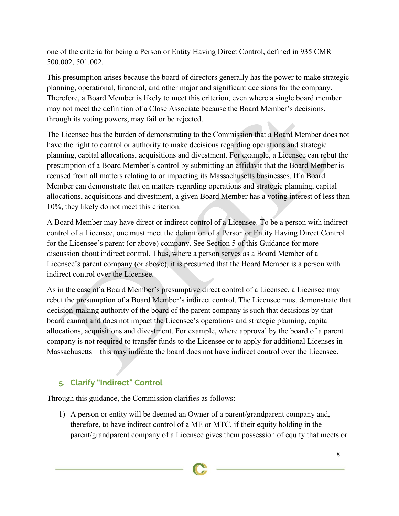one of the criteria for being a Person or Entity Having Direct Control, defined in 935 CMR 500.002, 501.002.

This presumption arises because the board of directors generally has the power to make strategic planning, operational, financial, and other major and significant decisions for the company. Therefore, a Board Member is likely to meet this criterion, even where a single board member may not meet the definition of a Close Associate because the Board Member's decisions, through its voting powers, may fail or be rejected.

The Licensee has the burden of demonstrating to the Commission that a Board Member does not have the right to control or authority to make decisions regarding operations and strategic planning, capital allocations, acquisitions and divestment. For example, a Licensee can rebut the presumption of a Board Member's control by submitting an affidavit that the Board Member is recused from all matters relating to or impacting its Massachusetts businesses. If a Board Member can demonstrate that on matters regarding operations and strategic planning, capital allocations, acquisitions and divestment, a given Board Member has a voting interest of less than 10%, they likely do not meet this criterion.

A Board Member may have direct or indirect control of a Licensee. To be a person with indirect control of a Licensee, one must meet the definition of a Person or Entity Having Direct Control for the Licensee's parent (or above) company. See Section 5 of this Guidance for more discussion about indirect control. Thus, where a person serves as a Board Member of a Licensee's parent company (or above), it is presumed that the Board Member is a person with indirect control over the Licensee.

As in the case of a Board Member's presumptive direct control of a Licensee, a Licensee may rebut the presumption of a Board Member's indirect control. The Licensee must demonstrate that decision-making authority of the board of the parent company is such that decisions by that board cannot and does not impact the Licensee's operations and strategic planning, capital allocations, acquisitions and divestment. For example, where approval by the board of a parent company is not required to transfer funds to the Licensee or to apply for additional Licenses in Massachusetts – this may indicate the board does not have indirect control over the Licensee.

## **5. Clarify "Indirect" Control**

Through this guidance, the Commission clarifies as follows:

1) A person or entity will be deemed an Owner of a parent/grandparent company and, therefore, to have indirect control of a ME or MTC, if their equity holding in the parent/grandparent company of a Licensee gives them possession of equity that meets or